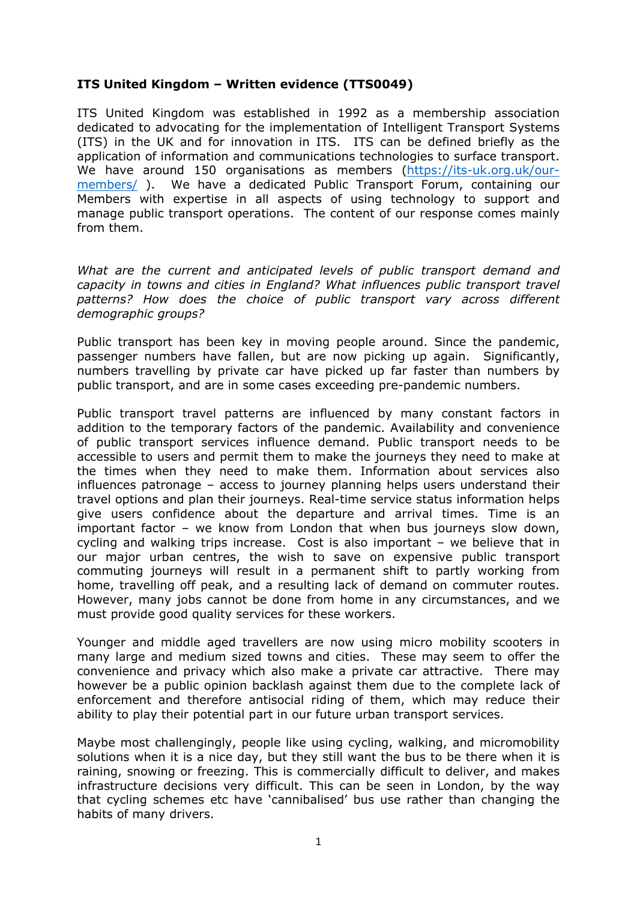## **ITS United Kingdom – Written evidence (TTS0049)**

ITS United Kingdom was established in 1992 as a membership association dedicated to advocating for the implementation of Intelligent Transport Systems (ITS) in the UK and for innovation in ITS. ITS can be defined briefly as the application of information and communications technologies to surface transport. We have around 150 organisations as members ([https://its-uk.org.uk/our](https://its-uk.org.uk/our-members/)[members/](https://its-uk.org.uk/our-members/) ). We have a dedicated Public Transport Forum, containing our Members with expertise in all aspects of using technology to support and manage public transport operations. The content of our response comes mainly from them.

*What are the current and anticipated levels of public transport demand and capacity in towns and cities in England? What influences public transport travel patterns? How does the choice of public transport vary across different demographic groups?*

Public transport has been key in moving people around. Since the pandemic, passenger numbers have fallen, but are now picking up again. Significantly, numbers travelling by private car have picked up far faster than numbers by public transport, and are in some cases exceeding pre-pandemic numbers.

Public transport travel patterns are influenced by many constant factors in addition to the temporary factors of the pandemic. Availability and convenience of public transport services influence demand. Public transport needs to be accessible to users and permit them to make the journeys they need to make at the times when they need to make them. Information about services also influences patronage – access to journey planning helps users understand their travel options and plan their journeys. Real-time service status information helps give users confidence about the departure and arrival times. Time is an important factor – we know from London that when bus journeys slow down, cycling and walking trips increase. Cost is also important – we believe that in our major urban centres, the wish to save on expensive public transport commuting journeys will result in a permanent shift to partly working from home, travelling off peak, and a resulting lack of demand on commuter routes. However, many jobs cannot be done from home in any circumstances, and we must provide good quality services for these workers.

Younger and middle aged travellers are now using micro mobility scooters in many large and medium sized towns and cities. These may seem to offer the convenience and privacy which also make a private car attractive. There may however be a public opinion backlash against them due to the complete lack of enforcement and therefore antisocial riding of them, which may reduce their ability to play their potential part in our future urban transport services.

Maybe most challengingly, people like using cycling, walking, and micromobility solutions when it is a nice day, but they still want the bus to be there when it is raining, snowing or freezing. This is commercially difficult to deliver, and makes infrastructure decisions very difficult. This can be seen in London, by the way that cycling schemes etc have 'cannibalised' bus use rather than changing the habits of many drivers.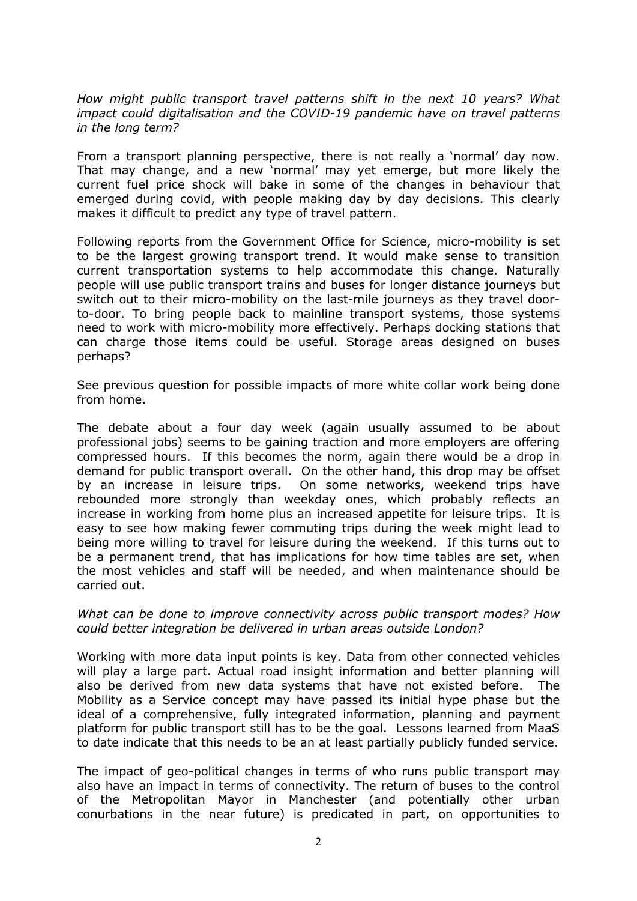*How might public transport travel patterns shift in the next 10 years? What impact could digitalisation and the COVID-19 pandemic have on travel patterns in the long term?*

From a transport planning perspective, there is not really a 'normal' day now. That may change, and a new 'normal' may yet emerge, but more likely the current fuel price shock will bake in some of the changes in behaviour that emerged during covid, with people making day by day decisions. This clearly makes it difficult to predict any type of travel pattern.

Following reports from the Government Office for Science, micro-mobility is set to be the largest growing transport trend. It would make sense to transition current transportation systems to help accommodate this change. Naturally people will use public transport trains and buses for longer distance journeys but switch out to their micro-mobility on the last-mile journeys as they travel doorto-door. To bring people back to mainline transport systems, those systems need to work with micro-mobility more effectively. Perhaps docking stations that can charge those items could be useful. Storage areas designed on buses perhaps?

See previous question for possible impacts of more white collar work being done from home.

The debate about a four day week (again usually assumed to be about professional jobs) seems to be gaining traction and more employers are offering compressed hours. If this becomes the norm, again there would be a drop in demand for public transport overall. On the other hand, this drop may be offset by an increase in leisure trips. On some networks, weekend trips have rebounded more strongly than weekday ones, which probably reflects an increase in working from home plus an increased appetite for leisure trips. It is easy to see how making fewer commuting trips during the week might lead to being more willing to travel for leisure during the weekend. If this turns out to be a permanent trend, that has implications for how time tables are set, when the most vehicles and staff will be needed, and when maintenance should be carried out.

*What can be done to improve connectivity across public transport modes? How could better integration be delivered in urban areas outside London?*

Working with more data input points is key. Data from other connected vehicles will play a large part. Actual road insight information and better planning will also be derived from new data systems that have not existed before. The Mobility as a Service concept may have passed its initial hype phase but the ideal of a comprehensive, fully integrated information, planning and payment platform for public transport still has to be the goal. Lessons learned from MaaS to date indicate that this needs to be an at least partially publicly funded service.

The impact of geo-political changes in terms of who runs public transport may also have an impact in terms of connectivity. The return of buses to the control of the Metropolitan Mayor in Manchester (and potentially other urban conurbations in the near future) is predicated in part, on opportunities to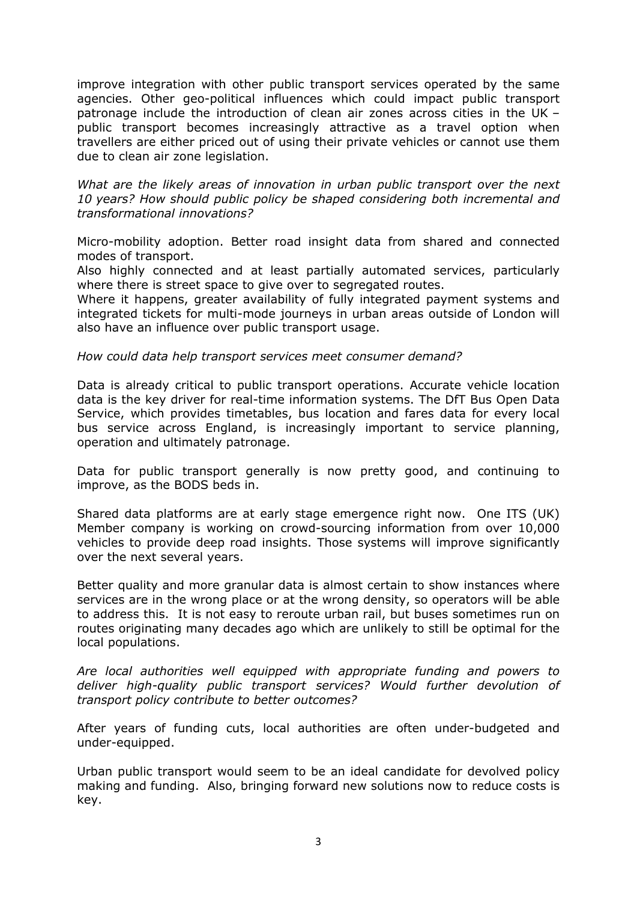improve integration with other public transport services operated by the same agencies. Other geo-political influences which could impact public transport patronage include the introduction of clean air zones across cities in the UK – public transport becomes increasingly attractive as a travel option when travellers are either priced out of using their private vehicles or cannot use them due to clean air zone legislation.

*What are the likely areas of innovation in urban public transport over the next 10 years? How should public policy be shaped considering both incremental and transformational innovations?*

Micro-mobility adoption. Better road insight data from shared and connected modes of transport.

Also highly connected and at least partially automated services, particularly where there is street space to give over to segregated routes.

Where it happens, greater availability of fully integrated payment systems and integrated tickets for multi-mode journeys in urban areas outside of London will also have an influence over public transport usage.

## *How could data help transport services meet consumer demand?*

Data is already critical to public transport operations. Accurate vehicle location data is the key driver for real-time information systems. The DfT Bus Open Data Service, which provides timetables, bus location and fares data for every local bus service across England, is increasingly important to service planning, operation and ultimately patronage.

Data for public transport generally is now pretty good, and continuing to improve, as the BODS beds in.

Shared data platforms are at early stage emergence right now. One ITS (UK) Member company is working on crowd-sourcing information from over 10,000 vehicles to provide deep road insights. Those systems will improve significantly over the next several years.

Better quality and more granular data is almost certain to show instances where services are in the wrong place or at the wrong density, so operators will be able to address this. It is not easy to reroute urban rail, but buses sometimes run on routes originating many decades ago which are unlikely to still be optimal for the local populations.

*Are local authorities well equipped with appropriate funding and powers to deliver high-quality public transport services? Would further devolution of transport policy contribute to better outcomes?*

After years of funding cuts, local authorities are often under-budgeted and under-equipped.

Urban public transport would seem to be an ideal candidate for devolved policy making and funding. Also, bringing forward new solutions now to reduce costs is key.